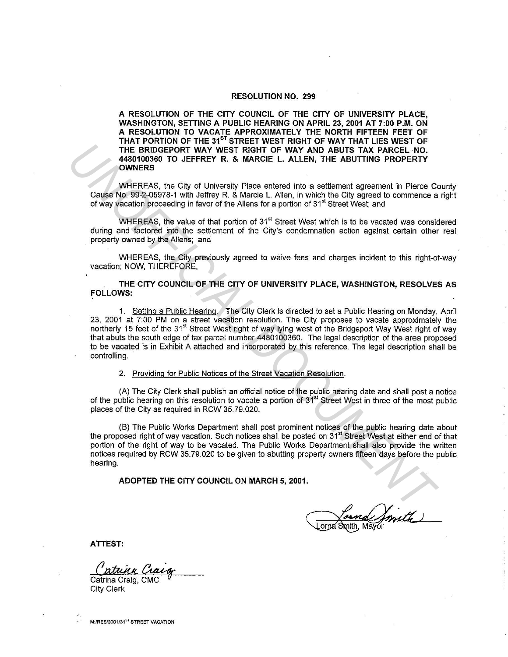## RESOLUTION NO. 299

A RESOLUTION OF THE CITY COUNCIL OF THE CITY OF UNIVERSITY PLACE, WASHINGTON, SETTING A PUBLIC HEARING ON APRIL 23, 2001 AT 7:00 P.M. ON A RESOLUTION TO VACATE APPROXIMATELY THE NORTH FIFTEEN FEET OF THAT PORTION OF THE  $31^{87}$  STREET WEST RIGHT OF WAY THAT LIES WEST OF THE BRIDGEPORT WAY WEST RIGHT OF WAY AND ABUTS TAX PARCEL NO. 4480100360 TO JEFFREY R. & MARCIE L. ALLEN, THE ABUTTING PROPERTY OWNERS

WHEREAS, the City of University Place entered into a settlement agreement in Pierce County Cause No. 99-2-05978-1 with Jeffrey R. & Marcie L. Allen, in which the City agreed to commence a right of way vacation proceeding in favor of the Allens for a portion of 31<sup>st</sup> Street West; and

WHEREAS, the value of that portion of 31<sup>st</sup> Street West which is to be vacated was considered during and factored into the settlement of the City's condemnation action against certain other real property owned by the Allens; and

WHEREAS, the City previously agreed to waive fees and charges incident to this right-of-way vacation; NOW, THEREFORE,

THE CITY COUNCIL OF THE CITY OF UNIVERSITY PLACE, WASHINGTON, RESOLVES AS FOLLOWS:

1. Setting a Public Hearing. The City Clerk is directed to set a Public Hearing on Monday, April 23, 2001 at 7:00 PM on a street vacation resolution. The City proposes to vacate approximately the northerly 15 feet of the 31<sup>st</sup> Street West right of way lying west of the Bridgeport Way West right of way that abuts the south edge of tax parcel number 4480100360. The legal description of the area proposed to be vacated is in Exhibit A attached and incorporated by this reference. The legal description shall be controlling. The Templete Price The HAT of P WAY AND ABUTS TAK FARCEL. NO<br> **UNIFICIAL DEPARTS TO LEFFREY R. & MARCEL.** ALLEN, THE ABUTTING PROPERTY<br>
UNIFICIAL DEPARTS IN the UNIFICIAL DEPART OF WAY AND ABUTS TAK FARCEL. NO<br>
UNIFICIAL D

2. Providing for Public Notices of the Street Vacation Resolution.

(A) The City Clerk shall publish an official notice of the public hearing date and shall post a notice of the public hearing on this resolution to vacate a portion of 31<sup>st</sup> Street West in three of the most public places of the City as required in RCW 35. 79.020.

(B) The Public Works Department shall post prominent notices of the public hearing date about the proposed right of way vacation. Such notices shall be posted on 31<sup>st</sup> Street West at either end of that portion of the right of way to be vacated. The Public Works Department shall also provide the written notices required by RCW 35.79.020 to be given to abutting property owners fifteen days before the public hearing.

ADOPTED THE CITY COUNCIL ON MARCH 5, 2001.

.<br>Jorna Smith, Mayor

ATTEST:

atuna Craig

Catrina Craig, CMC City Clerk

M:/RES/2001/31<sup>ST</sup> STREET VACATION